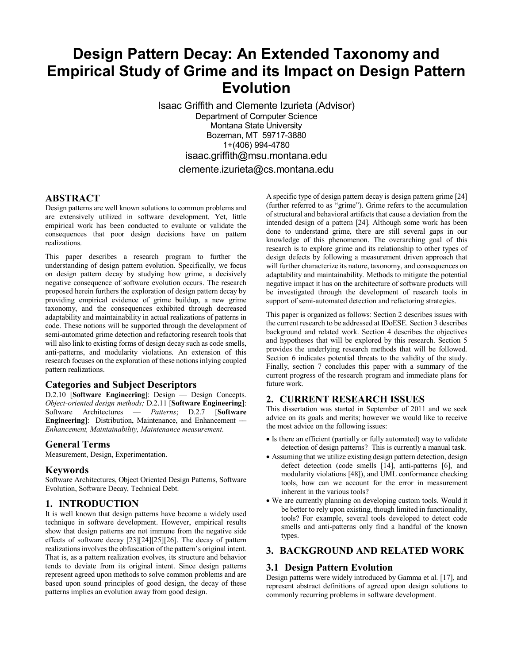# **Design Pattern Decay: An Extended Taxonomy and Empirical Study of Grime and its Impact on Design Pattern Evolution**

Isaac Griffith and Clemente Izurieta (Advisor) Department of Computer Science Montana State University Bozeman, MT 59717-3880 1+(406) 994-4780 isaac.griffith@msu.montana.edu clemente.izurieta@cs.montana.edu

## **ABSTRACT**

Design patterns are well known solutions to common problems and are extensively utilized in software development. Yet, little empirical work has been conducted to evaluate or validate the consequences that poor design decisions have on pattern realizations.

This paper describes a research program to further the understanding of design pattern evolution. Specifically, we focus on design pattern decay by studying how grime, a decisively negative consequence of software evolution occurs. The research proposed herein furthers the exploration of design pattern decay by providing empirical evidence of grime buildup, a new grime taxonomy, and the consequences exhibited through decreased adaptability and maintainability in actual realizations of patterns in code. These notions will be supported through the development of semi-automated grime detection and refactoring research tools that will also link to existing forms of design decay such as code smells, anti-patterns, and modularity violations. An extension of this research focuses on the exploration of these notions inlying coupled pattern realizations.

## **Categories and Subject Descriptors**

D.2.10 [Software Engineering]: Design — Design Concepts. *Object-oriented design methods;* D.2.11 [**Software Engineering**]: Software Architectures –– *Patterns*; D.2.7 [**Software Engineering**]: Distribution, Maintenance, and Enhancement –– *Enhancement, Maintainability, Maintenance measurement.*

#### **General Terms**

Measurement, Design, Experimentation.

#### **Keywords**

Software Architectures, Object Oriented Design Patterns, Software Evolution, Software Decay, Technical Debt.

## **1. INTRODUCTION**

It is well known that design patterns have become a widely used technique in software development. However, empirical results show that design patterns are not immune from the negative side effects of software decay [23][24][25][26]. The decay of pattern realizations involves the obfuscation of the pattern's original intent. That is, as a pattern realization evolves, its structure and behavior tends to deviate from its original intent. Since design patterns represent agreed upon methods to solve common problems and are based upon sound principles of good design, the decay of these patterns implies an evolution away from good design.

A specific type of design pattern decay is design pattern grime [24] (further referred to as "grime"). Grime refers to the accumulation of structural and behavioral artifacts that cause a deviation from the intended design of a pattern [24]. Although some work has been done to understand grime, there are still several gaps in our knowledge of this phenomenon. The overarching goal of this research is to explore grime and its relationship to other types of design defects by following a measurement driven approach that will further characterize its nature, taxonomy, and consequences on adaptability and maintainability. Methods to mitigate the potential negative impact it has on the architecture of software products will be investigated through the development of research tools in support of semi-automated detection and refactoring strategies.

This paper is organized as follows: Section 2 describes issues with the current research to be addressed at IDoESE. Section 3 describes background and related work. Section 4 describes the objectives and hypotheses that will be explored by this research. Section 5 provides the underlying research methods that will be followed. Section 6 indicates potential threats to the validity of the study. Finally, section 7 concludes this paper with a summary of the current progress of the research program and immediate plans for future work.

# **2. CURRENT RESEARCH ISSUES**

This dissertation was started in September of 2011 and we seek advice on its goals and merits; however we would like to receive the most advice on the following issues:

- Is there an efficient (partially or fully automated) way to validate detection of design patterns? This is currently a manual task.
- Assuming that we utilize existing design pattern detection, design defect detection (code smells [14], anti-patterns [6], and modularity violations [48]), and UML conformance checking tools, how can we account for the error in measurement inherent in the various tools?
- We are currently planning on developing custom tools. Would it be better to rely upon existing, though limited in functionality, tools? For example, several tools developed to detect code smells and anti-patterns only find a handful of the known types.

## **3. BACKGROUND AND RELATED WORK**

## **3.1 Design Pattern Evolution**

Design patterns were widely introduced by Gamma et al. [17], and represent abstract definitions of agreed upon design solutions to commonly recurring problems in software development.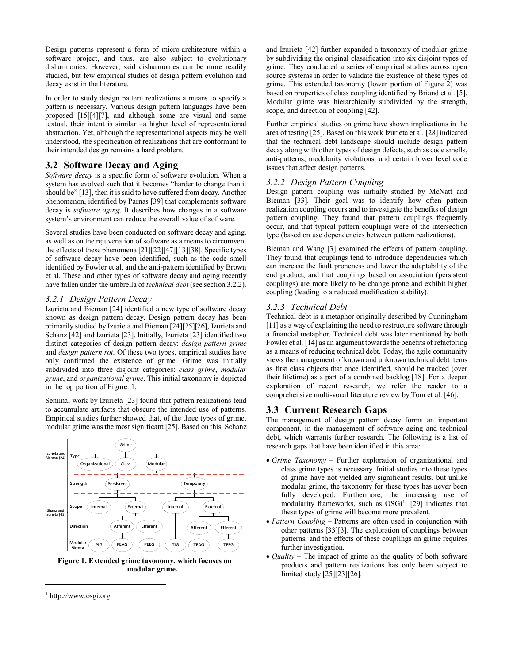Design patterns represent a form of micro-architecture within a software project, and thus, are also subject to evolutionary disharmonies. However, said disharmonies can be more readily studied, but few empirical studies of design pattern evolution and decay exist in the literature.

In order to study design pattern realizations a means to specify a pattern is necessary. Various design pattern languages have been proposed [15][4][7], and although some are visual and some textual, their intent is similar –a higher level of representational abstraction. Yet, although the representational aspects may be well understood, the specification of realizations that are conformant to their intended design remains a hard problem.

# **3.2 Software Decay and Aging**

*Software decay* is a specific form of software evolution. When a system has evolved such that it becomes "harder to change than it should be" [13], then it is said to have suffered from decay. Another phenomenon, identified by Parnas [39] that complements software decay is *software aging*. It describes how changes in a software system's environment can reduce the overall value of software.

Several studies have been conducted on software decay and aging, as well as on the rejuvenation of software as a means to circumvent the effects of these phenomena [21][22][47][13][38]. Specific types of software decay have been identified, such as the code smell identified by Fowler et al. and the anti-pattern identified by Brown et al. These and other types of software decay and aging recently have fallen under the umbrella of *technical debt* (see section 3.2.2).

## *3.2.1 Design Pattern Decay*

Izurieta and Bieman [24] identified a new type of software decay known as design pattern decay. Design pattern decay has been primarily studied by Izurieta and Bieman [24][25][26], Izurieta and Schanz [42] and Izurieta [23]. Initially, Izurieta [23] identified two distinct categories of design pattern decay: *design pattern grime* and *design pattern rot*. Of these two types, empirical studies have only confirmed the existence of grime. Grime was initially subdivided into three disjoint categories: *class grime*, *modular grime*, and *organizational grime*. This initial taxonomy is depicted in the top portion of Figure. 1.

Seminal work by Izurieta [23] found that pattern realizations tend to accumulate artifacts that obscure the intended use of patterns. Empirical studies further showed that, of the three types of grime, modular grime was the most significant [25]. Based on this, Schanz



**Figure 1. Extended grime taxonomy, which focuses on modular grime.**

and Izurieta [42] further expanded a taxonomy of modular grime by subdividing the original classification into six disjoint types of grime. They conducted a series of empirical studies across open source systems in order to validate the existence of these types of grime. This extended taxonomy (lower portion of Figure 2) was based on properties of class coupling identified by Briand et al. [5]. Modular grime was hierarchically subdivided by the strength, scope, and direction of coupling [42].

Further empirical studies on grime have shown implications in the area of testing [25]. Based on this work Izurieta et al. [28] indicated that the technical debt landscape should include design pattern decay along with other types of design defects, such as code smells, anti-patterns, modularity violations, and certain lower level code issues that affect design patterns.

## *3.2.2 Design Pattern Coupling*

Design pattern coupling was initially studied by McNatt and Bieman [33]. Their goal was to identify how often pattern realization coupling occurs and to investigate the benefits of design pattern coupling. They found that pattern couplings frequently occur, and that typical pattern couplings were of the intersection type (based on use dependencies between pattern realizations).

Bieman and Wang [3] examined the effects of pattern coupling. They found that couplings tend to introduce dependencies which can increase the fault proneness and lower the adaptability of the end product, and that couplings based on association (persistent couplings) are more likely to be change prone and exhibit higher coupling (leading to a reduced modification stability).

# *3.2.3 Technical Debt*

Technical debt is a metaphor originally described by Cunningham [11] as a way of explaining the need to restructure software through a financial metaphor. Technical debt was later mentioned by both Fowler et al. [14] as an argument towards the benefits of refactoring as a means of reducing technical debt. Today, the agile community viewsthe management of known and unknown technical debt items as first class objects that once identified, should be tracked (over their lifetime) as a part of a combined backlog [18]. For a deeper exploration of recent research, we refer the reader to a comprehensive multi-vocal literature review by Tom et al. [46].

# **3.3 Current Research Gaps**

The management of design pattern decay forms an important component, in the management of software aging and technical debt, which warrants further research. The following is a list of research gaps that have been identified in this area:

- x *Grime Taxonomy* Further exploration of organizational and class grime types is necessary. Initial studies into these types of grime have not yielded any significant results, but unlike modular grime, the taxonomy for these types has never been fully developed. Furthermore, the increasing use of modularity frameworks, such as  $OSGi<sup>1</sup>$  $OSGi<sup>1</sup>$  $OSGi<sup>1</sup>$ , [29] indicates that these types of grime will become more prevalent.
- *Pattern Coupling* Patterns are often used in conjunction with other patterns [33][3]*.* The exploration of couplings between patterns, and the effects of these couplings on grime requires further investigation.
- *Quality* The impact of grime on the quality of both software products and pattern realizations has only been subject to limited study [25][23][26]*.*

l

<span id="page-1-0"></span><sup>1</sup> http://www.osgi.org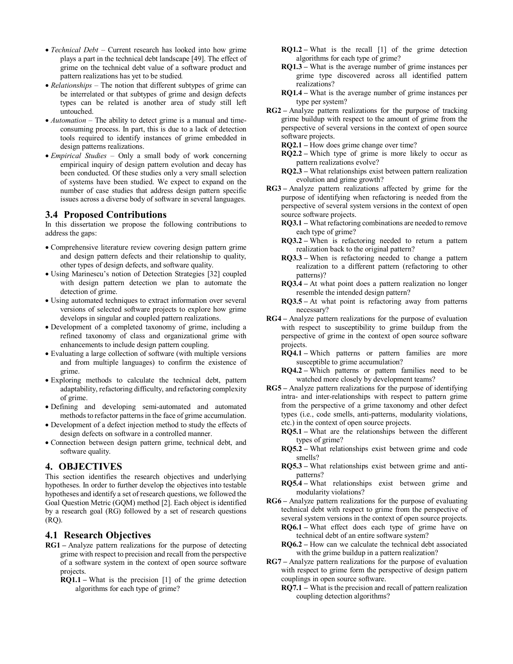- *Technical Debt* Current research has looked into how grime plays a part in the technical debt landscape [49]. The effect of grime on the technical debt value of a software product and pattern realizations has yet to be studied*.*
- *Relationships* The notion that different subtypes of grime can be interrelated or that subtypes of grime and design defects types can be related is another area of study still left untouched.
- *Automation* The ability to detect grime is a manual and timeconsuming process. In part, this is due to a lack of detection tools required to identify instances of grime embedded in design patterns realizations.
- x *Empirical Studies*  Only a small body of work concerning empirical inquiry of design pattern evolution and decay has been conducted. Of these studies only a very small selection of systems have been studied. We expect to expand on the number of case studies that address design pattern specific issues across a diverse body of software in several languages.

# **3.4 Proposed Contributions**

In this dissertation we propose the following contributions to address the gaps:

- Comprehensive literature review covering design pattern grime and design pattern defects and their relationship to quality, other types of design defects, and software quality.
- Using Marinescu's notion of Detection Strategies [32] coupled with design pattern detection we plan to automate the detection of grime.
- Using automated techniques to extract information over several versions of selected software projects to explore how grime develops in singular and coupled pattern realizations.
- x Development of a completed taxonomy of grime, including a refined taxonomy of class and organizational grime with enhancements to include design pattern coupling.
- Evaluating a large collection of software (with multiple versions) and from multiple languages) to confirm the existence of grime.
- Exploring methods to calculate the technical debt, pattern adaptability, refactoring difficulty, and refactoring complexity of grime.
- x Defining and developing semi-automated and automated methods to refactor patterns in the face of grime accumulation.
- Development of a defect injection method to study the effects of design defects on software in a controlled manner.
- Connection between design pattern grime, technical debt, and software quality.

# **4. OBJECTIVES**

This section identifies the research objectives and underlying hypotheses. In order to further develop the objectives into testable hypotheses and identify a set of research questions, we followed the Goal Question Metric (GQM) method [2]. Each object is identified by a research goal (RG) followed by a set of research questions (RQ).

# **4.1 Research Objectives**

- **RG1 –** Analyze pattern realizations for the purpose of detecting grime with respect to precision and recall from the perspective of a software system in the context of open source software projects.
	- **RQ1.1 –** What is the precision [1] of the grime detection algorithms for each type of grime?
- **RQ1.2 –** What is the recall [1] of the grime detection algorithms for each type of grime?
- **RQ1.3 –** What is the average number of grime instances per grime type discovered across all identified pattern realizations?
- **RQ1.4 –** What is the average number of grime instances per type per system?
- **RG2 –** Analyze pattern realizations for the purpose of tracking grime buildup with respect to the amount of grime from the perspective of several versions in the context of open source software projects.
	- **RQ2.1 –** How does grime change over time?
	- **RQ2.2 –** Which type of grime is more likely to occur as pattern realizations evolve?
	- **RQ2.3 –** What relationships exist between pattern realization evolution and grime growth?
- **RG3 –** Analyze pattern realizations affected by grime for the purpose of identifying when refactoring is needed from the perspective of several system versions in the context of open source software projects.
	- **RQ3.1 –** What refactoring combinations are needed to remove each type of grime?
	- **RQ3.2 –** When is refactoring needed to return a pattern realization back to the original pattern?
	- **RQ3.3 –** When is refactoring needed to change a pattern realization to a different pattern (refactoring to other patterns)?
	- **RQ3.4 –** At what point does a pattern realization no longer resemble the intended design pattern?
	- **RQ3.5 –** At what point is refactoring away from patterns necessary?
- **RG4 –** Analyze pattern realizations for the purpose of evaluation with respect to susceptibility to grime buildup from the perspective of grime in the context of open source software projects.
	- **RQ4.1 –** Which patterns or pattern families are more susceptible to grime accumulation?
	- **RQ4.2 –** Which patterns or pattern families need to be watched more closely by development teams?
- **RG5 –** Analyze pattern realizations for the purpose of identifying intra- and inter-relationships with respect to pattern grime from the perspective of a grime taxonomy and other defect types (i.e., code smells, anti-patterns, modularity violations, etc.) in the context of open source projects.
	- **RQ5.1 –** What are the relationships between the different types of grime?
	- **RQ5.2 –** What relationships exist between grime and code smells?
	- **RQ5.3 –** What relationships exist between grime and antipatterns?
	- **RQ5.4 –** What relationships exist between grime and modularity violations?
- **RG6 –** Analyze pattern realizations for the purpose of evaluating technical debt with respect to grime from the perspective of several system versions in the context of open source projects.
	- **RQ6.1 –** What effect does each type of grime have on technical debt of an entire software system?
	- **RQ6.2 –** How can we calculate the technical debt associated with the grime buildup in a pattern realization?
- **RG7 –** Analyze pattern realizations for the purpose of evaluation with respect to grime form the perspective of design pattern couplings in open source software.
	- **RQ7.1 –** What is the precision and recall of pattern realization coupling detection algorithms?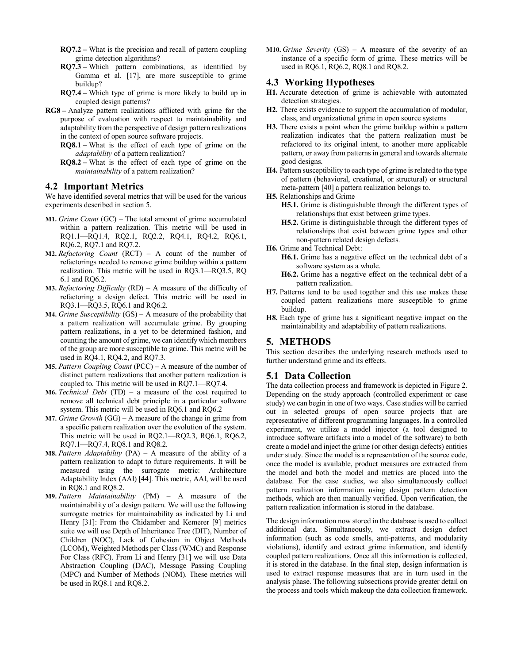- **RQ7.2 –** What is the precision and recall of pattern coupling grime detection algorithms?
- **RQ7.3 –** Which pattern combinations, as identified by Gamma et al. [17], are more susceptible to grime buildup?
- **RQ7.4 –** Which type of grime is more likely to build up in coupled design patterns?
- **RG8 –** Analyze pattern realizations afflicted with grime for the purpose of evaluation with respect to maintainability and adaptability from the perspective of design pattern realizations in the context of open source software projects.

**RQ8.1 –** What is the effect of each type of grime on the *adaptability* of a pattern realization?

**RQ8.2 –** What is the effect of each type of grime on the *maintainability* of a pattern realization?

#### **4.2 Important Metrics**

We have identified several metrics that will be used for the various experiments described in section 5.

- **M1.** *Grime Count* (GC) The total amount of grime accumulated within a pattern realization. This metric will be used in RQ1.1—RQ1.4, RQ2.1, RQ2.2, RQ4.1, RQ4.2, RQ6.1, RQ6.2, RQ7.1 and RQ7.2.
- **M2.** *Refactoring Count* (RCT) A count of the number of refactorings needed to remove grime buildup within a pattern realization. This metric will be used in RQ3.1—RQ3.5, RQ 6.1 and RQ6.2.
- **M3.** *Refactoring Difficulty* (RD) A measure of the difficulty of refactoring a design defect. This metric will be used in RQ3.1—RQ3.5, RQ6.1 and RQ6.2.
- **M4.** *Grime Susceptibility* (GS) A measure of the probability that a pattern realization will accumulate grime. By grouping pattern realizations, in a yet to be determined fashion, and counting the amount of grime, we can identify which members of the group are more susceptible to grime. This metric will be used in RQ4.1, RQ4.2, and RQ7.3.
- **M5.** *Pattern Coupling Count* (PCC) A measure of the number of distinct pattern realizations that another pattern realization is coupled to. This metric will be used in RQ7.1—RQ7.4.
- **M6.** *Technical Debt* (TD) a measure of the cost required to remove all technical debt principle in a particular software system. This metric will be used in RQ6.1 and RQ6.2
- **M7.** *Grime Growth* (GG) A measure of the change in grime from a specific pattern realization over the evolution of the system. This metric will be used in RQ2.1—RQ2.3, RQ6.1, RQ6.2, RQ7.1—RQ7.4, RQ8.1 and RQ8.2.
- **M8.** *Pattern Adaptability* (PA) A measure of the ability of a pattern realization to adapt to future requirements. It will be measured using the surrogate metric: Architecture Adaptability Index (AAI) [44]. This metric, AAI, will be used in RQ8.1 and RQ8.2.
- **M9.** *Pattern Maintainability* (PM) A measure of the maintainability of a design pattern. We will use the following surrogate metrics for maintainability as indicated by Li and Henry [31]: From the Chidamber and Kemerer [9] metrics suite we will use Depth of Inheritance Tree (DIT), Number of Children (NOC), Lack of Cohesion in Object Methods (LCOM), Weighted Methods per Class (WMC) and Response For Class (RFC). From Li and Henry [31] we will use Data Abstraction Coupling (DAC), Message Passing Coupling (MPC) and Number of Methods (NOM). These metrics will be used in RQ8.1 and RQ8.2.

**M10.** *Grime Severity* (GS) – A measure of the severity of an instance of a specific form of grime. These metrics will be used in RQ6.1, RQ6.2, RQ8.1 and RQ8.2.

#### **4.3 Working Hypotheses**

- **H1.** Accurate detection of grime is achievable with automated detection strategies.
- **H2.** There exists evidence to support the accumulation of modular, class, and organizational grime in open source systems
- **H3.** There exists a point when the grime buildup within a pattern realization indicates that the pattern realization must be refactored to its original intent, to another more applicable pattern, or away from patterns in general and towards alternate good designs.
- **H4.** Pattern susceptibility to each type of grime is related to the type of pattern (behavioral, creational, or structural) or structural meta-pattern [40] a pattern realization belongs to.
- **H5.** Relationships and Grime
	- **H5.1.** Grime is distinguishable through the different types of relationships that exist between grime types.
	- **H5.2.** Grime is distinguishable through the different types of relationships that exist between grime types and other non-pattern related design defects.
- **H6.** Grime and Technical Debt:
	- **H6.1.** Grime has a negative effect on the technical debt of a software system as a whole.
	- **H6.2.** Grime has a negative effect on the technical debt of a pattern realization.
- **H7.** Patterns tend to be used together and this use makes these coupled pattern realizations more susceptible to grime buildup.
- **H8.** Each type of grime has a significant negative impact on the maintainability and adaptability of pattern realizations.

## **5. METHODS**

This section describes the underlying research methods used to further understand grime and its effects.

## **5.1 Data Collection**

The data collection process and framework is depicted in Figure 2. Depending on the study approach (controlled experiment or case study) we can begin in one of two ways. Case studies will be carried out in selected groups of open source projects that are representative of different programming languages. In a controlled experiment, we utilize a model injector (a tool designed to introduce software artifacts into a model of the software) to both create a model and inject the grime (or other design defects) entities under study. Since the model is a representation of the source code, once the model is available, product measures are extracted from the model and both the model and metrics are placed into the database. For the case studies, we also simultaneously collect pattern realization information using design pattern detection methods, which are then manually verified. Upon verification, the pattern realization information is stored in the database.

The design information now stored in the database is used to collect additional data. Simultaneously, we extract design defect information (such as code smells, anti-patterns, and modularity violations), identify and extract grime information, and identify coupled pattern realizations. Once all this information is collected, it is stored in the database. In the final step, design information is used to extract response measures that are in turn used in the analysis phase. The following subsections provide greater detail on the process and tools which makeup the data collection framework.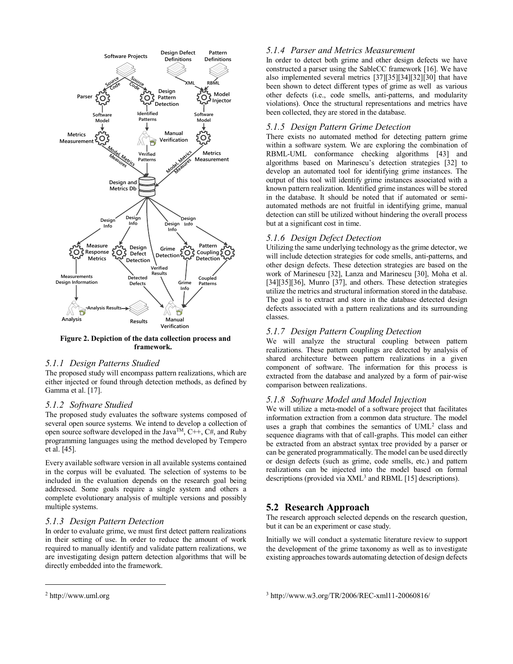

**Figure 2. Depiction of the data collection process and framework.**

# *5.1.1 Design Patterns Studied*

The proposed study will encompass pattern realizations, which are either injected or found through detection methods, as defined by Gamma et al. [17].

#### *5.1.2 Software Studied*

The proposed study evaluates the software systems composed of several open source systems*.* We intend to develop a collection of open source software developed in the Java<sup>TM</sup>,  $C++$ ,  $C#$ , and Ruby programming languages using the method developed by Tempero et al. [45].

Every available software version in all available systems contained in the corpus will be evaluated. The selection of systems to be included in the evaluation depends on the research goal being addressed. Some goals require a single system and others a complete evolutionary analysis of multiple versions and possibly multiple systems.

## *5.1.3 Design Pattern Detection*

In order to evaluate grime, we must first detect pattern realizations in their setting of use. In order to reduce the amount of work required to manually identify and validate pattern realizations, we are investigating design pattern detection algorithms that will be directly embedded into the framework.

## *5.1.4 Parser and Metrics Measurement*

In order to detect both grime and other design defects we have constructed a parser using the SableCC framework [16]. We have also implemented several metrics [37][35][34][32][30] that have been shown to detect different types of grime as well as various other defects (i.e., code smells, anti-patterns, and modularity violations). Once the structural representations and metrics have been collected, they are stored in the database.

## *5.1.5 Design Pattern Grime Detection*

There exists no automated method for detecting pattern grime within a software system. We are exploring the combination of RBML-UML conformance checking algorithms [43] and algorithms based on Marinescu's detection strategies [32] to develop an automated tool for identifying grime instances. The output of this tool will identify grime instances associated with a known pattern realization. Identified grime instances will be stored in the database. It should be noted that if automated or semiautomated methods are not fruitful in identifying grime, manual detection can still be utilized without hindering the overall process but at a significant cost in time.

# *5.1.6 Design Defect Detection*

Utilizing the same underlying technology as the grime detector, we will include detection strategies for code smells, anti-patterns, and other design defects. These detection strategies are based on the work of Marinescu [32], Lanza and Marinescu [30], Moha et al. [34][35][36], Munro [37], and others. These detection strategies utilize the metrics and structural information stored in the database. The goal is to extract and store in the database detected design defects associated with a pattern realizations and its surrounding classes.

# *5.1.7 Design Pattern Coupling Detection*

We will analyze the structural coupling between pattern realizations. These pattern couplings are detected by analysis of shared architecture between pattern realizations in a given component of software. The information for this process is extracted from the database and analyzed by a form of pair-wise comparison between realizations.

## *5.1.8 Software Model and Model Injection*

We will utilize a meta-model of a software project that facilitates information extraction from a common data structure. The model uses a graph that combines the semantics of UML<sup>[2](#page-4-0)</sup> class and sequence diagrams with that of call-graphs. This model can either be extracted from an abstract syntax tree provided by a parser or can be generated programmatically. The model can be used directly or design defects (such as grime, code smells, etc.) and pattern realizations can be injected into the model based on formal descriptions (provided via  $XML<sup>3</sup>$  and RBML [15] descriptions).

# **5.2 Research Approach**

The research approach selected depends on the research question, but it can be an experiment or case study.

Initially we will conduct a systematic literature review to support the development of the grime taxonomy as well as to investigate existing approaches towards automating detection of design defects

l

<span id="page-4-0"></span><sup>2</sup> http://www.uml.org

<sup>3</sup> http://www.w3.org/TR/2006/REC-xml11-20060816/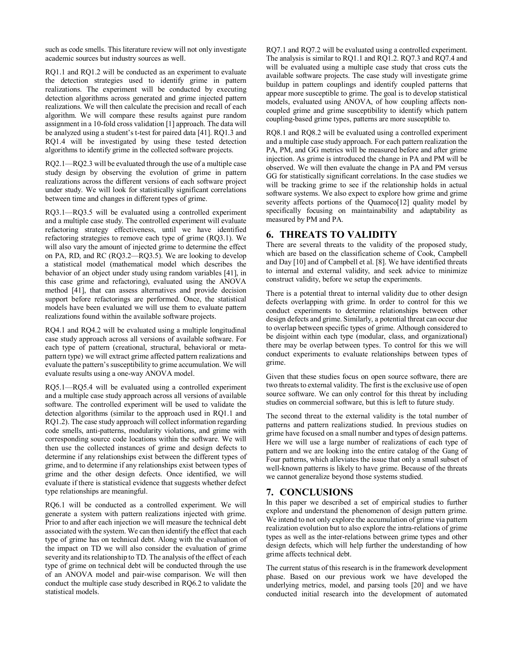such as code smells. This literature review will not only investigate academic sources but industry sources as well.

RQ1.1 and RQ1.2 will be conducted as an experiment to evaluate the detection strategies used to identify grime in pattern realizations. The experiment will be conducted by executing detection algorithms across generated and grime injected pattern realizations. We will then calculate the precision and recall of each algorithm. We will compare these results against pure random assignment in a 10-fold cross validation [1] approach. The data will be analyzed using a student's t-test for paired data [41]. RQ1.3 and RQ1.4 will be investigated by using these tested detection algorithms to identify grime in the collected software projects.

RQ2.1—RQ2.3 will be evaluated through the use of a multiple case study design by observing the evolution of grime in pattern realizations across the different versions of each software project under study. We will look for statistically significant correlations between time and changes in different types of grime.

RQ3.1—RQ3.5 will be evaluated using a controlled experiment and a multiple case study. The controlled experiment will evaluate refactoring strategy effectiveness, until we have identified refactoring strategies to remove each type of grime (RQ3.1). We will also vary the amount of injected grime to determine the effect on PA, RD, and RC (RQ3.2—RQ3.5). We are looking to develop a statistical model (mathematical model which describes the behavior of an object under study using random variables [41], in this case grime and refactoring), evaluated using the ANOVA method [41], that can assess alternatives and provide decision support before refactorings are performed. Once, the statistical models have been evaluated we will use them to evaluate pattern realizations found within the available software projects.

RQ4.1 and RQ4.2 will be evaluated using a multiple longitudinal case study approach across all versions of available software. For each type of pattern (creational, structural, behavioral or metapattern type) we will extract grime affected pattern realizations and evaluate the pattern's susceptibility to grime accumulation. We will evaluate results using a one-way ANOVA model.

RQ5.1—RQ5.4 will be evaluated using a controlled experiment and a multiple case study approach across all versions of available software. The controlled experiment will be used to validate the detection algorithms (similar to the approach used in RQ1.1 and RQ1.2). The case study approach will collect information regarding code smells, anti-patterns, modularity violations, and grime with corresponding source code locations within the software. We will then use the collected instances of grime and design defects to determine if any relationships exist between the different types of grime, and to determine if any relationships exist between types of grime and the other design defects. Once identified, we will evaluate if there is statistical evidence that suggests whether defect type relationships are meaningful.

RQ6.1 will be conducted as a controlled experiment. We will generate a system with pattern realizations injected with grime. Prior to and after each injection we will measure the technical debt associated with the system. We can then identify the effect that each type of grime has on technical debt. Along with the evaluation of the impact on TD we will also consider the evaluation of grime severity and its relationship to TD. The analysis of the effect of each type of grime on technical debt will be conducted through the use of an ANOVA model and pair-wise comparison. We will then conduct the multiple case study described in RQ6.2 to validate the statistical models.

RQ7.1 and RQ7.2 will be evaluated using a controlled experiment. The analysis is similar to RQ1.1 and RQ1.2. RQ7.3 and RQ7.4 and will be evaluated using a multiple case study that cross cuts the available software projects. The case study will investigate grime buildup in pattern couplings and identify coupled patterns that appear more susceptible to grime. The goal is to develop statistical models, evaluated using ANOVA, of how coupling affects noncoupled grime and grime susceptibility to identify which pattern coupling-based grime types, patterns are more susceptible to.

RQ8.1 and RQ8.2 will be evaluated using a controlled experiment and a multiple case study approach. For each pattern realization the PA, PM, and GG metrics will be measured before and after grime injection. As grime is introduced the change in PA and PM will be observed. We will then evaluate the change in PA and PM versus GG for statistically significant correlations. In the case studies we will be tracking grime to see if the relationship holds in actual software systems. We also expect to explore how grime and grime severity affects portions of the Quamoco<sup>[12]</sup> quality model by specifically focusing on maintainability and adaptability as measured by PM and PA.

# **6. THREATS TO VALIDITY**

There are several threats to the validity of the proposed study, which are based on the classification scheme of Cook, Campbell and Day [10] and of Campbell et al. [8]. We have identified threats to internal and external validity, and seek advice to minimize construct validity, before we setup the experiments.

There is a potential threat to internal validity due to other design defects overlapping with grime. In order to control for this we conduct experiments to determine relationships between other design defects and grime. Similarly, a potential threat can occur due to overlap between specific types of grime. Although considered to be disjoint within each type (modular, class, and organizational) there may be overlap between types. To control for this we will conduct experiments to evaluate relationships between types of grime.

Given that these studies focus on open source software, there are two threats to external validity. The first is the exclusive use of open source software. We can only control for this threat by including studies on commercial software, but this is left to future study.

The second threat to the external validity is the total number of patterns and pattern realizations studied. In previous studies on grime have focused on a small number and types of design patterns. Here we will use a large number of realizations of each type of pattern and we are looking into the entire catalog of the Gang of Four patterns, which alleviates the issue that only a small subset of well-known patterns is likely to have grime. Because of the threats we cannot generalize beyond those systems studied.

# **7. CONCLUSIONS**

In this paper we described a set of empirical studies to further explore and understand the phenomenon of design pattern grime. We intend to not only explore the accumulation of grime via pattern realization evolution but to also explore the intra-relations of grime types as well as the inter-relations between grime types and other design defects, which will help further the understanding of how grime affects technical debt.

The current status of this research is in the framework development phase. Based on our previous work we have developed the underlying metrics, model, and parsing tools [20] and we have conducted initial research into the development of automated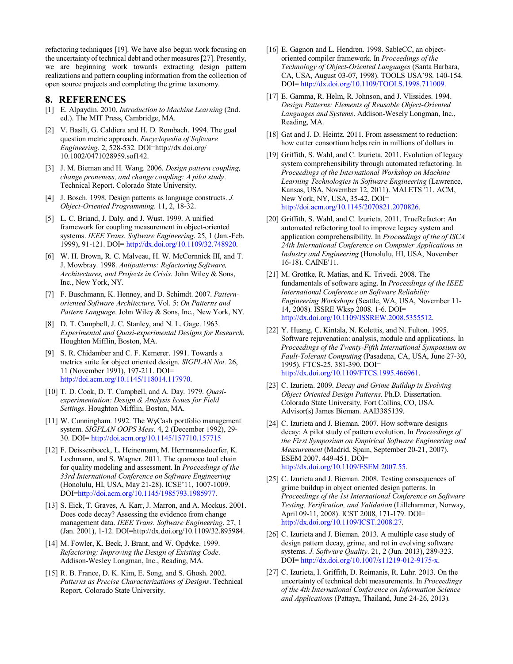refactoring techniques [19]. We have also begun work focusing on the uncertainty of technical debt and other measures [27]. Presently, we are beginning work towards extracting design pattern realizations and pattern coupling information from the collection of open source projects and completing the grime taxonomy.

#### **8. REFERENCES**

- [1] E. Alpaydin. 2010. *Introduction to Machine Learning* (2nd. ed.). The MIT Press, Cambridge, MA.
- [2] V. Basili, G. Caldiera and H. D. Rombach. 1994. The goal question metric approach. *Encyclopedia of Software Engineering*. 2, 528-532. DOI=http://dx.doi.org/ 10.1002/0471028959.sof142.
- [3] J. M. Bieman and H. Wang. 2006. *Design pattern coupling, change proneness, and change coupling: A pilot study*. Technical Report. Colorado State University.
- [4] J. Bosch. 1998. Design patterns as language constructs. *J. Object-Oriented Programming*. 11, 2, 18-32.
- [5] L. C. Briand, J. Daly, and J. Wust. 1999. A unified framework for coupling measurement in object-oriented systems. *IEEE Trans. Software Engineering*. 25, 1 (Jan.-Feb. 1999), 91-121. DOI= [http://dx.doi.org/10.1109/32.748920.](http://dx.doi.org/10.1109/32.748920)
- [6] W. H. Brown, R. C. Malveau, H. W. McCornnick III, and T. J. Mowbray. 1998. *Antipatterns: Refactoring Software, Architectures, and Projects in Crisis*. John Wiley & Sons, Inc., New York, NY.
- [7] F. Buschmann, K. Henney, and D. Schimdt. 2007. *Patternoriented Software Architecture,* Vol. 5: *On Patterns and Pattern Language*. John Wiley & Sons, Inc., New York, NY.
- [8] D. T. Campbell, J. C. Stanley, and N. L. Gage. 1963. *Experimental and Quasi-experimental Designs for Research*. Houghton Mifflin, Boston, MA.
- [9] S. R. Chidamber and C. F. Kemerer. 1991. Towards a metrics suite for object oriented design. *SIGPLAN Not.* 26, 11 (November 1991), 197-211. DOI= [http://doi.acm.org/10.1145/118014.117970.](http://doi.acm.org/10.1145/118014.117970)
- [10] T. D. Cook, D. T. Campbell, and A. Day. 1979. *Quasiexperimentation: Design & Analysis Issues for Field Settings*. Houghton Mifflin, Boston, MA.
- [11] W. Cunningham. 1992. The WyCash portfolio management system. *SIGPLAN OOPS Mess.* 4, 2 (December 1992), 29- 30. DOI= <http://doi.acm.org/10.1145/157710.157715>
- [12] F. Deissenboeck, L. Heinemann, M. Herrmannsdoerfer, K. Lochmann, and S. Wagner. 2011. The quamoco tool chain for quality modeling and assessment. In *Proceedings of the 33rd International Conference on Software Engineering* (Honolulu, HI, USA, May 21-28). ICSE'11, 1007-1009. DOI[=http://doi.acm.org/10.1145/1985793.1985977.](http://doi.acm.org/10.1145/1985793.1985977)
- [13] S. Eick, T. Graves, A. Karr, J. Marron, and A. Mockus. 2001. Does code decay? Assessing the evidence from change management data. *IEEE Trans. Software Engineering*. 27, 1 (Jan. 2001), 1-12. DOI=http://dx.doi.org/10.1109/32.895984.
- [14] M. Fowler, K. Beck, J. Brant, and W. Opdyke. 1999. *Refactoring: Improving the Design of Existing Code*. Addison-Wesley Longman, Inc., Reading, MA.
- [15] R. B. France, D. K. Kim, E. Song, and S. Ghosh. 2002. *Patterns as Precise Characterizations of Designs*. Technical Report. Colorado State University.
- [16] E. Gagnon and L. Hendren. 1998. SableCC, an objectoriented compiler framework. In *Proceedings of the Technology of Object-Oriented Languages* (Santa Barbara, CA, USA, August 03-07, 1998). TOOLS USA'98. 140-154. DOI= [http://dx.doi.org/10.1109/TOOLS.1998.711009.](http://dx.doi.org/10.1109/TOOLS.1998.711009)
- [17] E. Gamma, R. Helm, R. Johnson, and J. Vlissides. 1994. *Design Patterns: Elements of Reusable Object-Oriented Languages and Systems*. Addison-Wesely Longman, Inc., Reading, MA.
- [18] Gat and J. D. Heintz. 2011. From assessment to reduction: how cutter consortium helps rein in millions of dollars in
- [19] Griffith, S. Wahl, and C. Izurieta. 2011. Evolution of legacy system comprehensibility through automated refactoring. In *Proceedings of the International Workshop on Machine Learning Technologies in Software Engineering* (Lawrence, Kansas, USA, November 12, 2011). MALETS '11. ACM, New York, NY, USA, 35-42. DOI= [http://doi.acm.org/10.1145/2070821.2070826.](http://doi.acm.org/10.1145/2070821.2070826)
- [20] Griffith, S. Wahl, and C. Izurieta. 2011. TrueRefactor: An automated refactoring tool to improve legacy system and application comprehensibility. In *Proceedings of the of ISCA 24th International Conference on Computer Applications in Industry and Engineering* (Honolulu, HI, USA, November 16-18). CAINE'11.
- [21] M. Grottke, R. Matias, and K. Trivedi. 2008. The fundamentals of software aging. In *Proceedings of the IEEE International Conference on Software Reliability Engineering Workshops* (Seattle, WA, USA, November 11- 14, 2008). ISSRE Wksp 2008. 1-6. DOI= [http://dx.doi.org/10.1109/ISSREW.2008.5355512.](http://dx.doi.org/10.1109/ISSREW.2008.5355512)
- [22] Y. Huang, C. Kintala, N. Kolettis, and N. Fulton. 1995. Software rejuvenation: analysis, module and applications. In *Proceedings of the Twenty-Fifth International Symposium on Fault-Tolerant Computing* (Pasadena, CA, USA, June 27-30, 1995). FTCS-25. 381-390. DOI= [http://dx.doi.org/10.1109/FTCS.1995.466961.](http://dx.doi.org/10.1109/FTCS.1995.466961)
- [23] C. Izurieta. 2009. *Decay and Grime Buildup in Evolving Object Oriented Design Patterns*. Ph.D. Dissertation. Colorado State University, Fort Collins, CO, USA. Advisor(s) James Bieman. AAI3385139.
- [24] C. Izurieta and J. Bieman. 2007. How software designs decay: A pilot study of pattern evolution. In *Proceedings of the First Symposium on Empirical Software Engineering and Measurement* (Madrid, Spain, September 20-21, 2007). ESEM 2007. 449-451. DOI= [http://dx.doi.org/10.1109/ESEM.2007.55.](http://dx.doi.org/10.1109/ESEM.2007.55)
- [25] C. Izurieta and J. Bieman. 2008. Testing consequences of grime buildup in object oriented design patterns. In *Proceedings of the 1st International Conference on Software Testing, Verification, and Validation* (Lillehammer, Norway, April 09-11, 2008). ICST 2008, 171-179. DOI= [http://dx.doi.org/10.1109/ICST.2008.27.](http://dx.doi.org/10.1109/ICST.2008.27)
- [26] C. Izurieta and J. Bieman. 2013. A multiple case study of design pattern decay, grime, and rot in evolving software systems. *J. Software Quality*. 21, 2 (Jun. 2013), 289-323. DOI= [http://dx.doi.org/10.1007/s11219-012-9175-x.](http://dx.doi.org/10.1007/s11219-012-9175-x)
- [27] C. Izurieta, I. Griffith, D. Reimanis, R. Luhr. 2013. On the uncertainty of technical debt measurements. In *Proceedings of the 4th International Conference on Information Science and Applications* (Pattaya, Thailand, June 24-26, 2013).